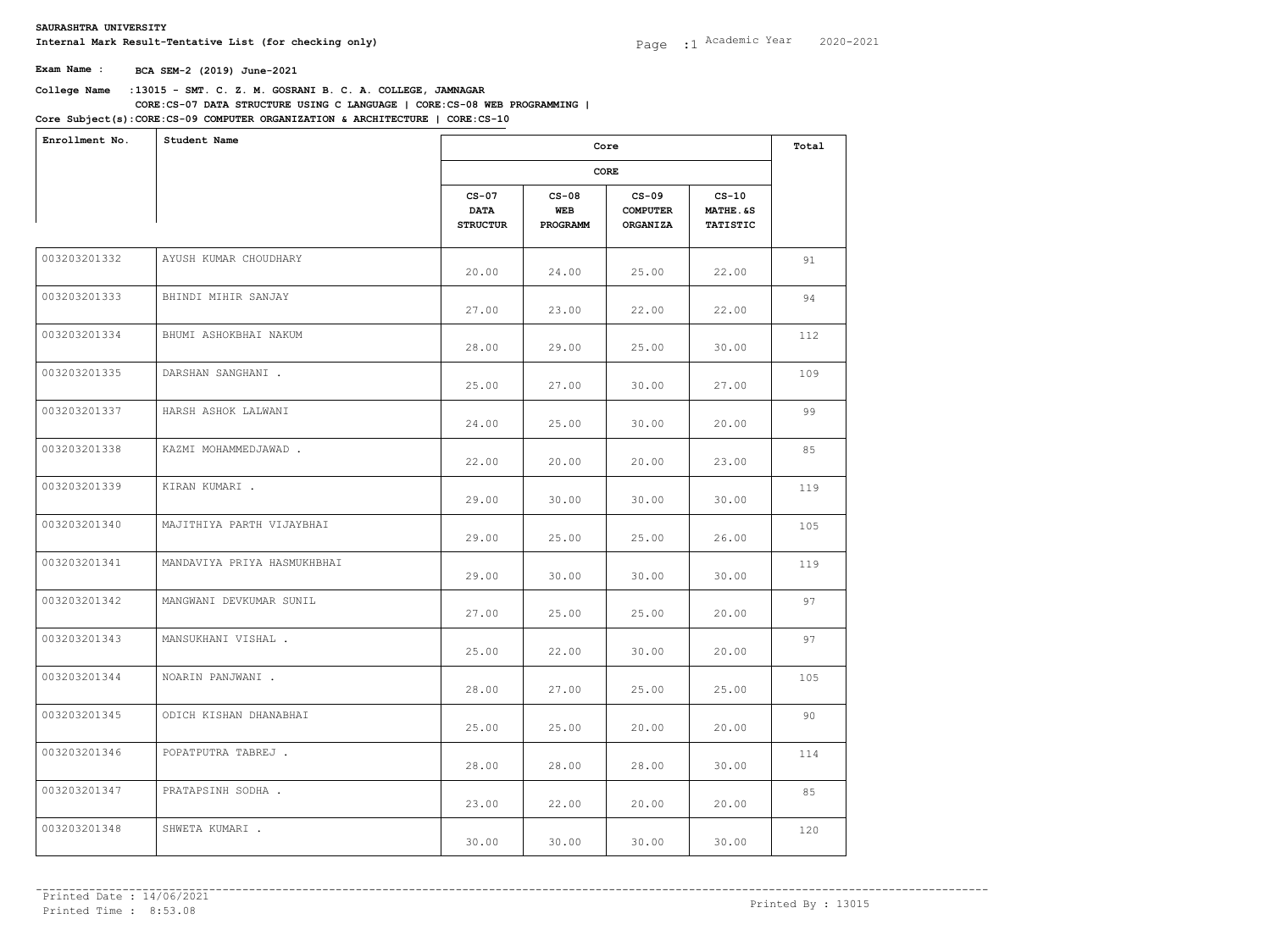| Enrollment No. | Student Name                |                                           | Core                       |                                               |                                                   |     |  |
|----------------|-----------------------------|-------------------------------------------|----------------------------|-----------------------------------------------|---------------------------------------------------|-----|--|
|                |                             |                                           |                            | CORE                                          |                                                   |     |  |
|                |                             | $CS-07$<br><b>DATA</b><br><b>STRUCTUR</b> | $CS-08$<br>WEB<br>PROGRAMM | $CS-09$<br><b>COMPUTER</b><br><b>ORGANIZA</b> | $CS-10$<br><b>MATHE.&amp;S</b><br><b>TATISTIC</b> |     |  |
| 003203201332   | AYUSH KUMAR CHOUDHARY       | 20.00                                     | 24.00                      | 25.00                                         | 22.00                                             | 91  |  |
| 003203201333   | BHINDI MIHIR SANJAY         | 27.00                                     | 23.00                      | 22.00                                         | 22.00                                             | 94  |  |
| 003203201334   | BHUMI ASHOKBHAI NAKUM       | 28.00                                     | 29.00                      | 25.00                                         | 30.00                                             | 112 |  |
| 003203201335   | DARSHAN SANGHANI .          | 25.00                                     | 27.00                      | 30.00                                         | 27.00                                             | 109 |  |
| 003203201337   | HARSH ASHOK LALWANI         | 24.00                                     | 25.00                      | 30.00                                         | 20.00                                             | 99  |  |
| 003203201338   | KAZMI MOHAMMEDJAWAD.        | 22.00                                     | 20.00                      | 20.00                                         | 23.00                                             | 85  |  |
| 003203201339   | KIRAN KUMARI .              | 29.00                                     | 30.00                      | 30.00                                         | 30.00                                             | 119 |  |
| 003203201340   | MAJITHIYA PARTH VIJAYBHAI   | 29.00                                     | 25.00                      | 25.00                                         | 26.00                                             | 105 |  |
| 003203201341   | MANDAVIYA PRIYA HASMUKHBHAI | 29.00                                     | 30.00                      | 30.00                                         | 30.00                                             | 119 |  |
| 003203201342   | MANGWANI DEVKUMAR SUNIL     | 27.00                                     | 25.00                      | 25.00                                         | 20.00                                             | 97  |  |
| 003203201343   | MANSUKHANI VISHAL .         | 25.00                                     | 22.00                      | 30.00                                         | 20.00                                             | 97  |  |
| 003203201344   | NOARIN PANJWANI .           | 28.00                                     | 27.00                      | 25.00                                         | 25.00                                             | 105 |  |
| 003203201345   | ODICH KISHAN DHANABHAI      | 25.00                                     | 25.00                      | 20.00                                         | 20.00                                             | 90  |  |
| 003203201346   | POPATPUTRA TABREJ.          | 28.00                                     | 28.00                      | 28.00                                         | 30.00                                             | 114 |  |
| 003203201347   | PRATAPSINH SODHA.           | 23.00                                     | 22.00                      | 20.00                                         | 20.00                                             | 85  |  |
| 003203201348   | SHWETA KUMARI.              | 30.00                                     | 30.00                      | 30.00                                         | 30.00                                             | 120 |  |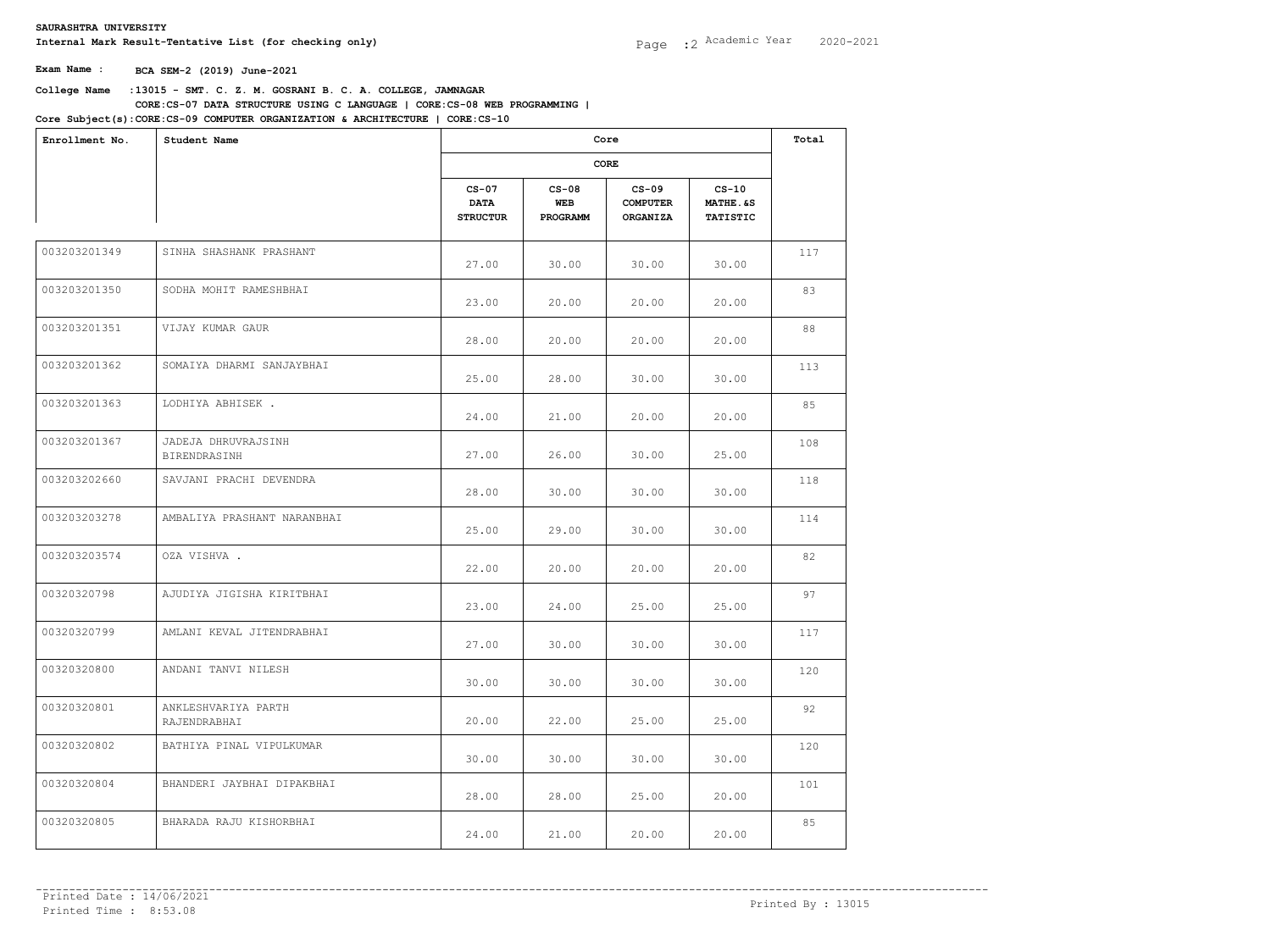| Enrollment No. | Student Name                        |                                           | Core<br>CORE               |                                               |                                        |     |  |
|----------------|-------------------------------------|-------------------------------------------|----------------------------|-----------------------------------------------|----------------------------------------|-----|--|
|                |                                     |                                           |                            |                                               |                                        |     |  |
|                |                                     | $CS-07$<br><b>DATA</b><br><b>STRUCTUR</b> | $CS-08$<br>WEB<br>PROGRAMM | $CS-09$<br><b>COMPUTER</b><br><b>ORGANIZA</b> | $CS-10$<br>MATHE.&S<br><b>TATISTIC</b> |     |  |
| 003203201349   | SINHA SHASHANK PRASHANT             | 27.00                                     | 30.00                      | 30.00                                         | 30.00                                  | 117 |  |
| 003203201350   | SODHA MOHIT RAMESHBHAI              | 23.00                                     | 20.00                      | 20.00                                         | 20.00                                  | 83  |  |
| 003203201351   | VIJAY KUMAR GAUR                    | 28.00                                     | 20.00                      | 20.00                                         | 20.00                                  | 88  |  |
| 003203201362   | SOMAIYA DHARMI SANJAYBHAI           | 25.00                                     | 28.00                      | 30.00                                         | 30.00                                  | 113 |  |
| 003203201363   | LODHIYA ABHISEK.                    | 24.00                                     | 21.00                      | 20.00                                         | 20.00                                  | 85  |  |
| 003203201367   | JADEJA DHRUVRAJSINH<br>BIRENDRASINH | 27.00                                     | 26.00                      | 30.00                                         | 25.00                                  | 108 |  |
| 003203202660   | SAVJANI PRACHI DEVENDRA             | 28.00                                     | 30.00                      | 30.00                                         | 30.00                                  | 118 |  |
| 003203203278   | AMBALIYA PRASHANT NARANBHAI         | 25.00                                     | 29.00                      | 30.00                                         | 30.00                                  | 114 |  |
| 003203203574   | OZA VISHVA .                        | 22.00                                     | 20.00                      | 20.00                                         | 20.00                                  | 82  |  |
| 00320320798    | AJUDIYA JIGISHA KIRITBHAI           | 23.00                                     | 24.00                      | 25.00                                         | 25.00                                  | 97  |  |
| 00320320799    | AMLANI KEVAL JITENDRABHAI           | 27.00                                     | 30.00                      | 30.00                                         | 30.00                                  | 117 |  |
| 00320320800    | ANDANI TANVI NILESH                 | 30.00                                     | 30.00                      | 30.00                                         | 30.00                                  | 120 |  |
| 00320320801    | ANKLESHVARIYA PARTH<br>RAJENDRABHAI | 20.00                                     | 22.00                      | 25.00                                         | 25.00                                  | 92  |  |
| 00320320802    | BATHIYA PINAL VIPULKUMAR            | 30.00                                     | 30.00                      | 30.00                                         | 30.00                                  | 120 |  |
| 00320320804    | BHANDERI JAYBHAI DIPAKBHAI          | 28.00                                     | 28.00                      | 25.00                                         | 20.00                                  | 101 |  |
| 00320320805    | BHARADA RAJU KISHORBHAI             | 24.00                                     | 21.00                      | 20.00                                         | 20.00                                  | 85  |  |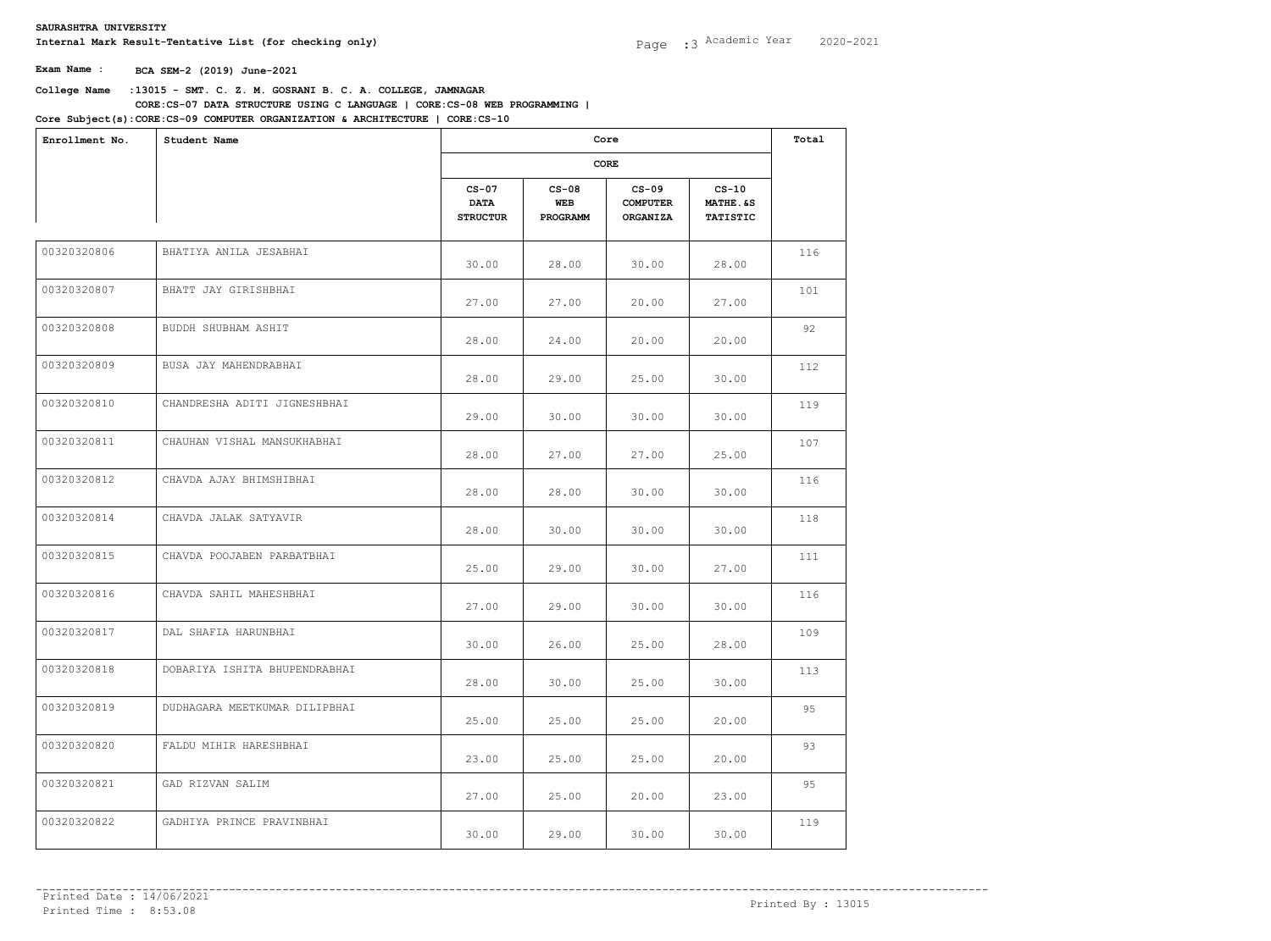| Enrollment No. | Student Name                  |                                           | Core<br>CORE               |                                               |                                        |     |  |
|----------------|-------------------------------|-------------------------------------------|----------------------------|-----------------------------------------------|----------------------------------------|-----|--|
|                |                               |                                           |                            |                                               |                                        |     |  |
|                |                               | $CS-07$<br><b>DATA</b><br><b>STRUCTUR</b> | $CS-08$<br>WEB<br>PROGRAMM | $CS-09$<br><b>COMPUTER</b><br><b>ORGANIZA</b> | $CS-10$<br>MATHE.&S<br><b>TATISTIC</b> |     |  |
| 00320320806    | BHATIYA ANILA JESABHAI        | 30.00                                     | 28.00                      | 30.00                                         | 28.00                                  | 116 |  |
| 00320320807    | BHATT JAY GIRISHBHAI          | 27.00                                     | 27.00                      | 20.00                                         | 27.00                                  | 101 |  |
| 00320320808    | BUDDH SHUBHAM ASHIT           | 28.00                                     | 24.00                      | 20.00                                         | 20.00                                  | 92  |  |
| 00320320809    | BUSA JAY MAHENDRABHAI         | 28.00                                     | 29.00                      | 25.00                                         | 30.00                                  | 112 |  |
| 00320320810    | CHANDRESHA ADITI JIGNESHBHAI  | 29.00                                     | 30.00                      | 30.00                                         | 30.00                                  | 119 |  |
| 00320320811    | CHAUHAN VISHAL MANSUKHABHAI   | 28.00                                     | 27.00                      | 27.00                                         | 25.00                                  | 107 |  |
| 00320320812    | CHAVDA AJAY BHIMSHIBHAI       | 28.00                                     | 28.00                      | 30.00                                         | 30.00                                  | 116 |  |
| 00320320814    | CHAVDA JALAK SATYAVIR         | 28.00                                     | 30.00                      | 30.00                                         | 30.00                                  | 118 |  |
| 00320320815    | CHAVDA POOJABEN PARBATBHAI    | 25.00                                     | 29.00                      | 30.00                                         | 27.00                                  | 111 |  |
| 00320320816    | CHAVDA SAHIL MAHESHBHAI       | 27.00                                     | 29.00                      | 30.00                                         | 30.00                                  | 116 |  |
| 00320320817    | DAL SHAFIA HARUNBHAI          | 30.00                                     | 26.00                      | 25.00                                         | 28.00                                  | 109 |  |
| 00320320818    | DOBARIYA ISHITA BHUPENDRABHAI | 28.00                                     | 30.00                      | 25.00                                         | 30.00                                  | 113 |  |
| 00320320819    | DUDHAGARA MEETKUMAR DILIPBHAI | 25.00                                     | 25.00                      | 25.00                                         | 20.00                                  | 95  |  |
| 00320320820    | FALDU MIHIR HARESHBHAI        | 23.00                                     | 25.00                      | 25.00                                         | 20.00                                  | 93  |  |
| 00320320821    | GAD RIZVAN SALIM              | 27.00                                     | 25.00                      | 20.00                                         | 23.00                                  | 95  |  |
| 00320320822    | GADHIYA PRINCE PRAVINBHAI     | 30.00                                     | 29.00                      | 30.00                                         | 30.00                                  | 119 |  |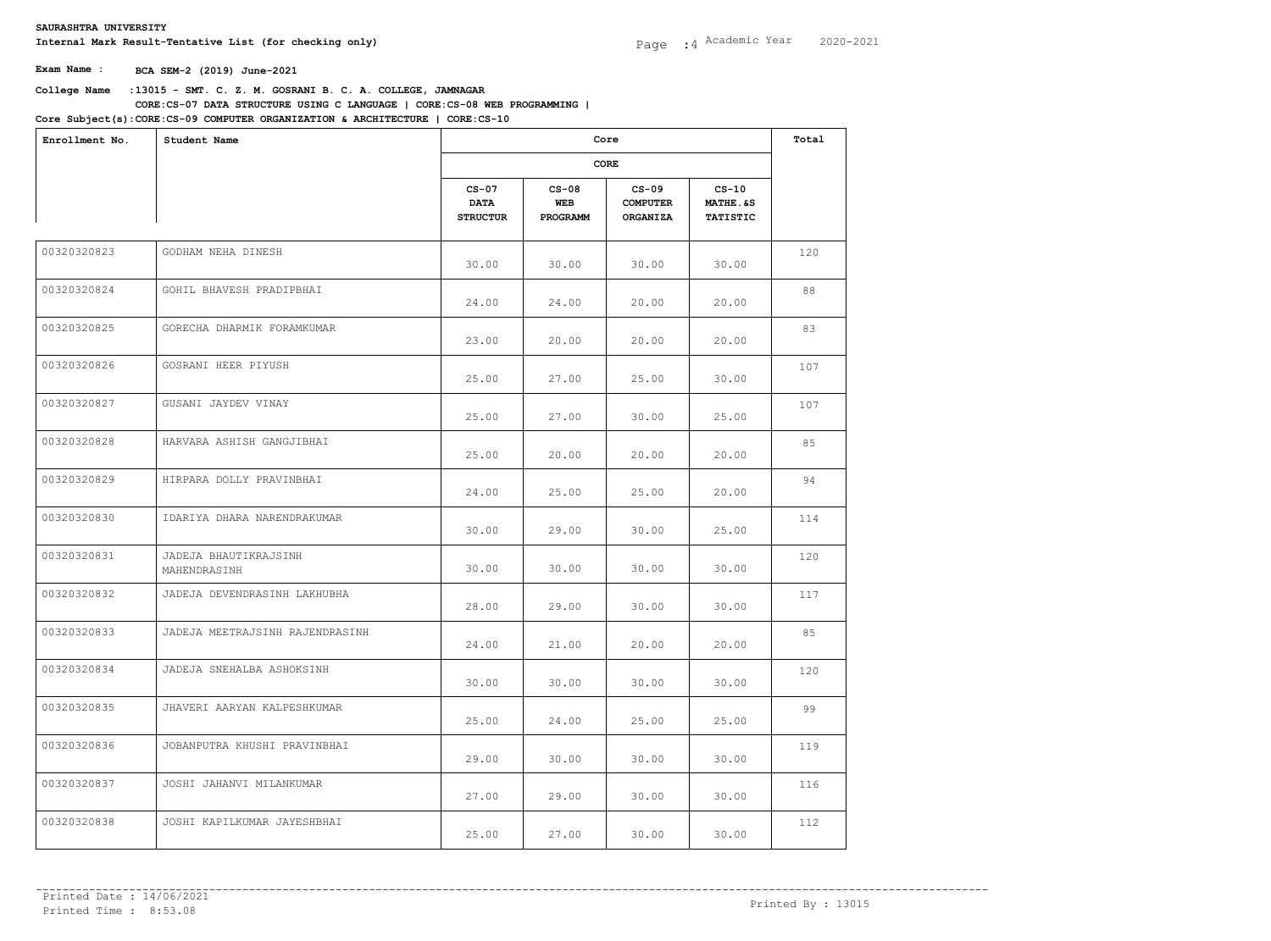| Enrollment No. | Student Name                          |                                           | Core                       |                                               |                                                   |     |  |
|----------------|---------------------------------------|-------------------------------------------|----------------------------|-----------------------------------------------|---------------------------------------------------|-----|--|
|                |                                       |                                           |                            | CORE                                          |                                                   |     |  |
|                |                                       | $CS-07$<br><b>DATA</b><br><b>STRUCTUR</b> | $CS-08$<br>WEB<br>PROGRAMM | $CS-09$<br><b>COMPUTER</b><br><b>ORGANIZA</b> | $CS-10$<br><b>MATHE.&amp;S</b><br><b>TATISTIC</b> |     |  |
| 00320320823    | GODHAM NEHA DINESH                    | 30.00                                     | 30.00                      | 30.00                                         | 30.00                                             | 120 |  |
| 00320320824    | GOHIL BHAVESH PRADIPBHAI              | 24.00                                     | 24.00                      | 20.00                                         | 20.00                                             | 88  |  |
| 00320320825    | GORECHA DHARMIK FORAMKUMAR            | 23.00                                     | 20.00                      | 20.00                                         | 20.00                                             | 83  |  |
| 00320320826    | GOSRANI HEER PIYUSH                   | 25.00                                     | 27.00                      | 25.00                                         | 30.00                                             | 107 |  |
| 00320320827    | GUSANI JAYDEV VINAY                   | 25.00                                     | 27.00                      | 30.00                                         | 25.00                                             | 107 |  |
| 00320320828    | HARVARA ASHISH GANGJIBHAI             | 25.00                                     | 20.00                      | 20.00                                         | 20.00                                             | 85  |  |
| 00320320829    | HIRPARA DOLLY PRAVINBHAI              | 24.00                                     | 25.00                      | 25.00                                         | 20.00                                             | 94  |  |
| 00320320830    | IDARIYA DHARA NARENDRAKUMAR           | 30.00                                     | 29.00                      | 30.00                                         | 25.00                                             | 114 |  |
| 00320320831    | JADEJA BHAUTIKRAJSINH<br>MAHENDRASINH | 30.00                                     | 30.00                      | 30.00                                         | 30.00                                             | 120 |  |
| 00320320832    | JADEJA DEVENDRASINH LAKHUBHA          | 28.00                                     | 29.00                      | 30.00                                         | 30.00                                             | 117 |  |
| 00320320833    | JADEJA MEETRAJSINH RAJENDRASINH       | 24.00                                     | 21.00                      | 20.00                                         | 20.00                                             | 85  |  |
| 00320320834    | JADEJA SNEHALBA ASHOKSINH             | 30.00                                     | 30.00                      | 30.00                                         | 30.00                                             | 120 |  |
| 00320320835    | JHAVERI AARYAN KALPESHKUMAR           | 25.00                                     | 24.00                      | 25.00                                         | 25.00                                             | 99  |  |
| 00320320836    | JOBANPUTRA KHUSHI PRAVINBHAI          | 29.00                                     | 30.00                      | 30.00                                         | 30.00                                             | 119 |  |
| 00320320837    | JOSHI JAHANVI MILANKUMAR              | 27.00                                     | 29.00                      | 30.00                                         | 30.00                                             | 116 |  |
| 00320320838    | JOSHI KAPILKUMAR JAYESHBHAI           | 25.00                                     | 27.00                      | 30.00                                         | 30.00                                             | 112 |  |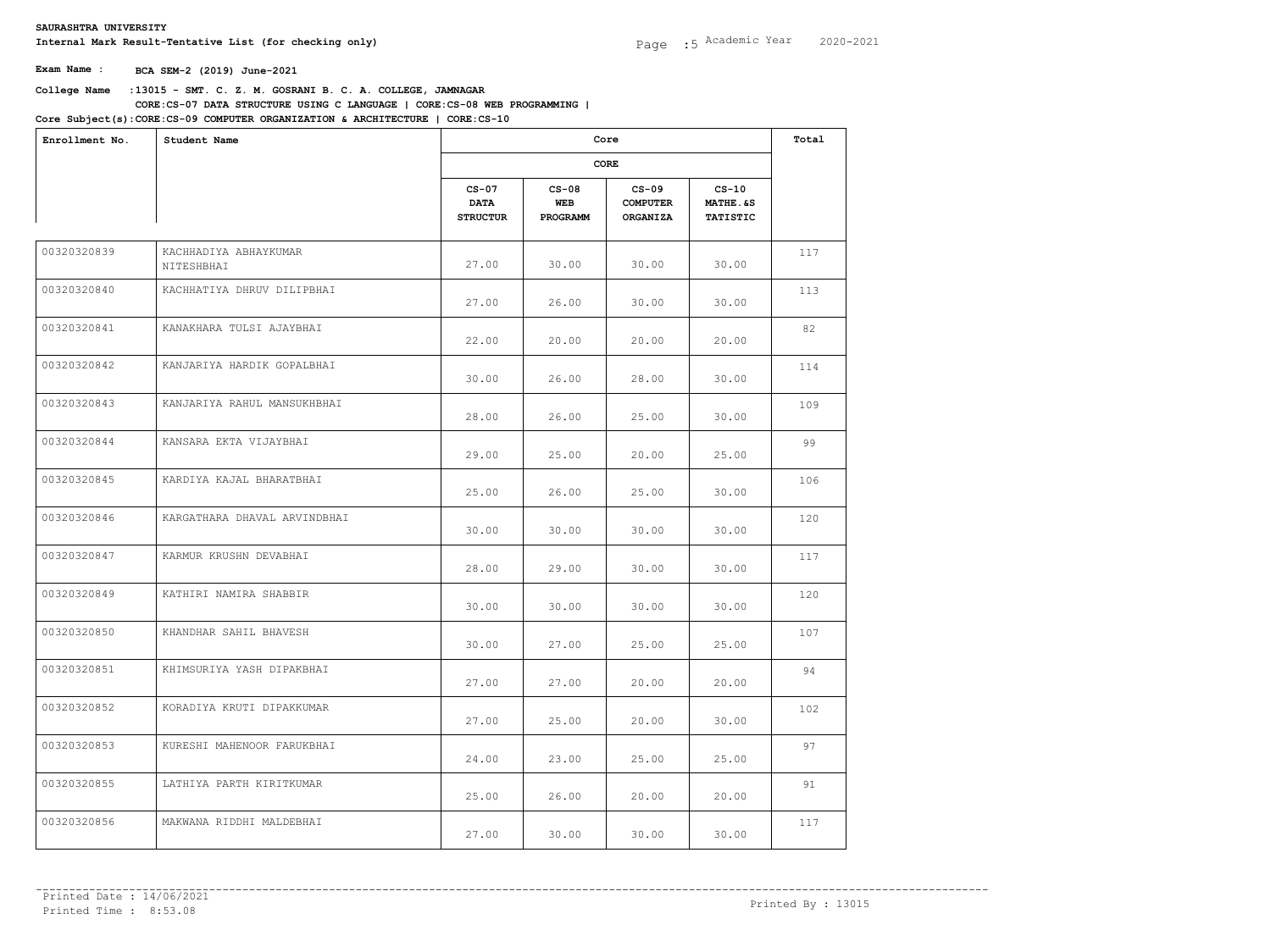| Enrollment No. | Student Name                        |                                           | Core                       |                                               |                                        |     |  |
|----------------|-------------------------------------|-------------------------------------------|----------------------------|-----------------------------------------------|----------------------------------------|-----|--|
|                |                                     |                                           |                            | CORE                                          |                                        |     |  |
|                |                                     | $CS-07$<br><b>DATA</b><br><b>STRUCTUR</b> | $CS-08$<br>WEB<br>PROGRAMM | $CS-09$<br><b>COMPUTER</b><br><b>ORGANIZA</b> | $CS-10$<br>MATHE.&S<br><b>TATISTIC</b> |     |  |
| 00320320839    | KACHHADIYA ABHAYKUMAR<br>NITESHBHAI | 27.00                                     | 30.00                      | 30.00                                         | 30.00                                  | 117 |  |
| 00320320840    | KACHHATIYA DHRUV DILIPBHAI          | 27.00                                     | 26.00                      | 30.00                                         | 30.00                                  | 113 |  |
| 00320320841    | KANAKHARA TULSI AJAYBHAI            | 22.00                                     | 20.00                      | 20.00                                         | 20.00                                  | 82  |  |
| 00320320842    | KANJARIYA HARDIK GOPALBHAI          | 30.00                                     | 26.00                      | 28.00                                         | 30.00                                  | 114 |  |
| 00320320843    | KANJARIYA RAHUL MANSUKHBHAI         | 28.00                                     | 26.00                      | 25.00                                         | 30.00                                  | 109 |  |
| 00320320844    | KANSARA EKTA VIJAYBHAI              | 29.00                                     | 25.00                      | 20.00                                         | 25.00                                  | 99  |  |
| 00320320845    | KARDIYA KAJAL BHARATBHAI            | 25.00                                     | 26.00                      | 25.00                                         | 30.00                                  | 106 |  |
| 00320320846    | KARGATHARA DHAVAL ARVINDBHAI        | 30.00                                     | 30.00                      | 30.00                                         | 30.00                                  | 120 |  |
| 00320320847    | KARMUR KRUSHN DEVABHAI              | 28.00                                     | 29.00                      | 30.00                                         | 30.00                                  | 117 |  |
| 00320320849    | KATHIRI NAMIRA SHABBIR              | 30.00                                     | 30.00                      | 30.00                                         | 30.00                                  | 120 |  |
| 00320320850    | KHANDHAR SAHIL BHAVESH              | 30.00                                     | 27.00                      | 25.00                                         | 25.00                                  | 107 |  |
| 00320320851    | KHIMSURIYA YASH DIPAKBHAI           | 27.00                                     | 27.00                      | 20.00                                         | 20.00                                  | 94  |  |
| 00320320852    | KORADIYA KRUTI DIPAKKUMAR           | 27.00                                     | 25.00                      | 20.00                                         | 30.00                                  | 102 |  |
| 00320320853    | KURESHI MAHENOOR FARUKBHAI          | 24.00                                     | 23.00                      | 25.00                                         | 25.00                                  | 97  |  |
| 00320320855    | LATHIYA PARTH KIRITKUMAR            | 25.00                                     | 26.00                      | 20.00                                         | 20.00                                  | 91  |  |
| 00320320856    | MAKWANA RIDDHI MALDEBHAI            | 27.00                                     | 30.00                      | 30.00                                         | 30.00                                  | 117 |  |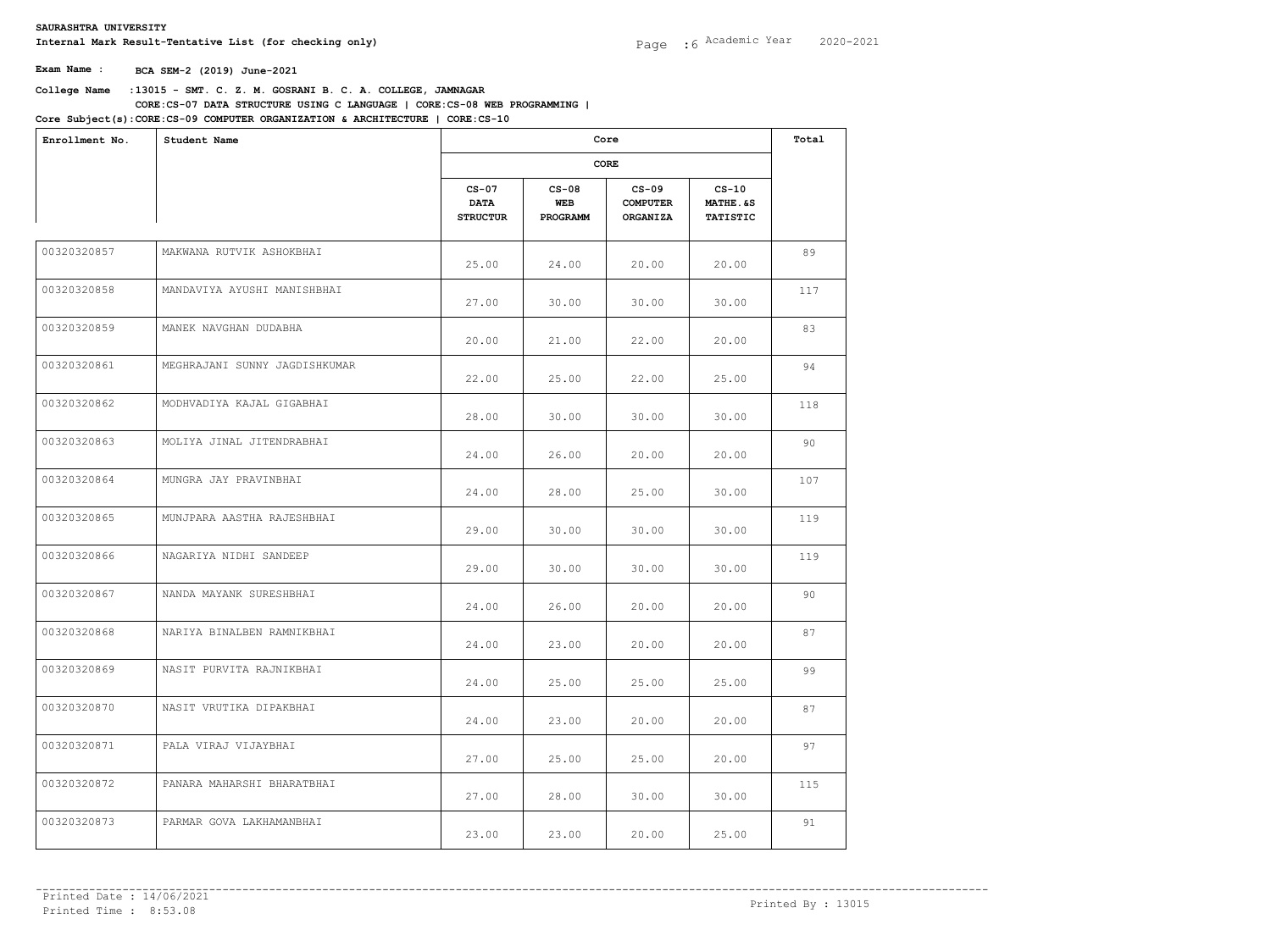| Enrollment No. | Student Name                  |                                           | Core<br>CORE               |                                               |                                         |     |  |
|----------------|-------------------------------|-------------------------------------------|----------------------------|-----------------------------------------------|-----------------------------------------|-----|--|
|                |                               |                                           |                            |                                               |                                         |     |  |
|                |                               | $CS-07$<br><b>DATA</b><br><b>STRUCTUR</b> | $CS-08$<br>WEB<br>PROGRAMM | $CS-09$<br><b>COMPUTER</b><br><b>ORGANIZA</b> | $CS-10$<br>MATHE. &S<br><b>TATISTIC</b> |     |  |
| 00320320857    | MAKWANA RUTVIK ASHOKBHAI      | 25.00                                     | 24.00                      | 20.00                                         | 20.00                                   | 89  |  |
| 00320320858    | MANDAVIYA AYUSHI MANISHBHAI   | 27.00                                     | 30.00                      | 30.00                                         | 30.00                                   | 117 |  |
| 00320320859    | MANEK NAVGHAN DUDABHA         | 20.00                                     | 21.00                      | 22.00                                         | 20.00                                   | 83  |  |
| 00320320861    | MEGHRAJANI SUNNY JAGDISHKUMAR | 22.00                                     | 25.00                      | 22.00                                         | 25.00                                   | 94  |  |
| 00320320862    | MODHVADIYA KAJAL GIGABHAI     | 28.00                                     | 30.00                      | 30.00                                         | 30.00                                   | 118 |  |
| 00320320863    | MOLIYA JINAL JITENDRABHAI     | 24.00                                     | 26.00                      | 20.00                                         | 20.00                                   | 90  |  |
| 00320320864    | MUNGRA JAY PRAVINBHAI         | 24.00                                     | 28.00                      | 25.00                                         | 30.00                                   | 107 |  |
| 00320320865    | MUNJPARA AASTHA RAJESHBHAI    | 29.00                                     | 30.00                      | 30.00                                         | 30.00                                   | 119 |  |
| 00320320866    | NAGARIYA NIDHI SANDEEP        | 29.00                                     | 30.00                      | 30.00                                         | 30.00                                   | 119 |  |
| 00320320867    | NANDA MAYANK SURESHBHAI       | 24.00                                     | 26.00                      | 20.00                                         | 20.00                                   | 90  |  |
| 00320320868    | NARIYA BINALBEN RAMNIKBHAI    | 24.00                                     | 23.00                      | 20.00                                         | 20.00                                   | 87  |  |
| 00320320869    | NASIT PURVITA RAJNIKBHAI      | 24.00                                     | 25.00                      | 25.00                                         | 25.00                                   | 99  |  |
| 00320320870    | NASIT VRUTIKA DIPAKBHAI       | 24.00                                     | 23.00                      | 20.00                                         | 20.00                                   | 87  |  |
| 00320320871    | PALA VIRAJ VIJAYBHAI          | 27.00                                     | 25.00                      | 25.00                                         | 20.00                                   | 97  |  |
| 00320320872    | PANARA MAHARSHI BHARATBHAI    | 27.00                                     | 28.00                      | 30.00                                         | 30.00                                   | 115 |  |
| 00320320873    | PARMAR GOVA LAKHAMANBHAI      | 23.00                                     | 23.00                      | 20.00                                         | 25.00                                   | 91  |  |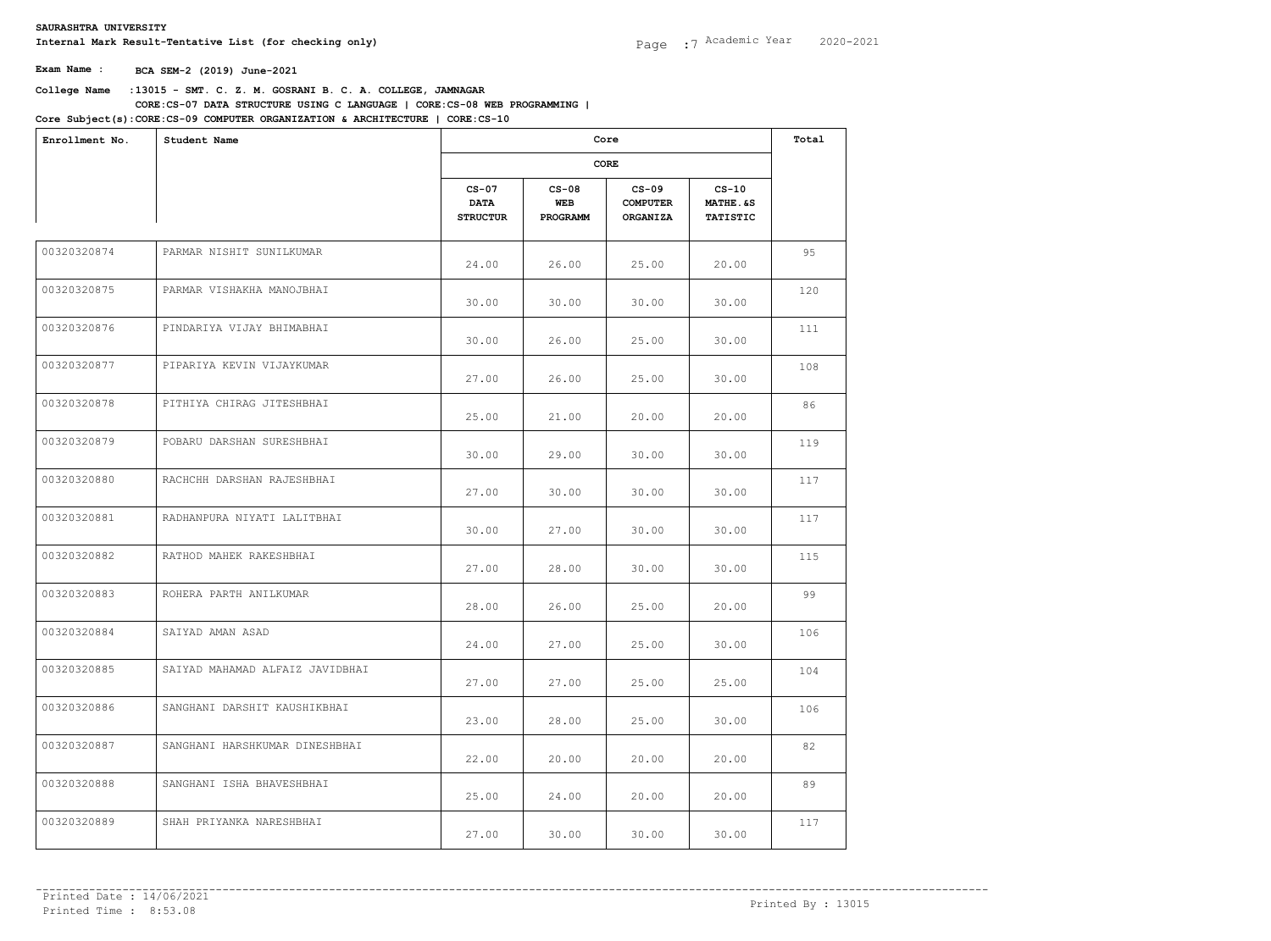| Enrollment No. | Student Name                    |                                           | Core<br>CORE               |                                               |                                        |     |  |
|----------------|---------------------------------|-------------------------------------------|----------------------------|-----------------------------------------------|----------------------------------------|-----|--|
|                |                                 |                                           |                            |                                               |                                        |     |  |
|                |                                 | $CS-07$<br><b>DATA</b><br><b>STRUCTUR</b> | $CS-08$<br>WEB<br>PROGRAMM | $CS-09$<br><b>COMPUTER</b><br><b>ORGANIZA</b> | $CS-10$<br>MATHE.&S<br><b>TATISTIC</b> |     |  |
| 00320320874    | PARMAR NISHIT SUNILKUMAR        | 24.00                                     | 26.00                      | 25.00                                         | 20.00                                  | 95  |  |
| 00320320875    | PARMAR VISHAKHA MANOJBHAI       | 30.00                                     | 30.00                      | 30.00                                         | 30.00                                  | 120 |  |
| 00320320876    | PINDARIYA VIJAY BHIMABHAI       | 30.00                                     | 26.00                      | 25.00                                         | 30.00                                  | 111 |  |
| 00320320877    | PIPARIYA KEVIN VIJAYKUMAR       | 27.00                                     | 26.00                      | 25.00                                         | 30.00                                  | 108 |  |
| 00320320878    | PITHIYA CHIRAG JITESHBHAI       | 25.00                                     | 21.00                      | 20.00                                         | 20.00                                  | 86  |  |
| 00320320879    | POBARU DARSHAN SURESHBHAI       | 30.00                                     | 29.00                      | 30.00                                         | 30.00                                  | 119 |  |
| 00320320880    | RACHCHH DARSHAN RAJESHBHAI      | 27.00                                     | 30.00                      | 30.00                                         | 30.00                                  | 117 |  |
| 00320320881    | RADHANPURA NIYATI LALITBHAI     | 30.00                                     | 27.00                      | 30.00                                         | 30.00                                  | 117 |  |
| 00320320882    | RATHOD MAHEK RAKESHBHAI         | 27.00                                     | 28.00                      | 30.00                                         | 30.00                                  | 115 |  |
| 00320320883    | ROHERA PARTH ANILKUMAR          | 28.00                                     | 26.00                      | 25.00                                         | 20.00                                  | 99  |  |
| 00320320884    | SAIYAD AMAN ASAD                | 24.00                                     | 27.00                      | 25.00                                         | 30.00                                  | 106 |  |
| 00320320885    | SAIYAD MAHAMAD ALFAIZ JAVIDBHAI | 27.00                                     | 27.00                      | 25.00                                         | 25.00                                  | 104 |  |
| 00320320886    | SANGHANI DARSHIT KAUSHIKBHAI    | 23.00                                     | 28.00                      | 25.00                                         | 30.00                                  | 106 |  |
| 00320320887    | SANGHANI HARSHKUMAR DINESHBHAI  | 22.00                                     | 20.00                      | 20.00                                         | 20.00                                  | 82  |  |
| 00320320888    | SANGHANI ISHA BHAVESHBHAI       | 25.00                                     | 24.00                      | 20.00                                         | 20.00                                  | 89  |  |
| 00320320889    | SHAH PRIYANKA NARESHBHAI        | 27.00                                     | 30.00                      | 30.00                                         | 30.00                                  | 117 |  |